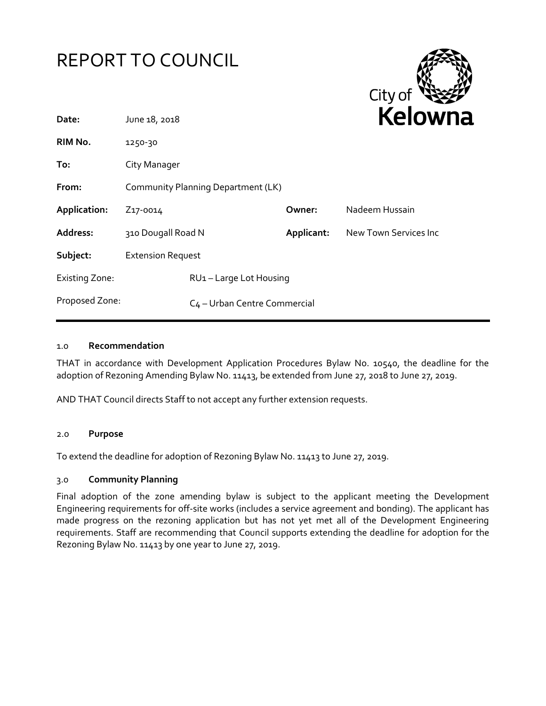



| Date:                 | June 18, 2018                            |  |            | <b>NEIOWI</b>         |
|-----------------------|------------------------------------------|--|------------|-----------------------|
| RIM No.               | 1250-30                                  |  |            |                       |
| To:                   | City Manager                             |  |            |                       |
| From:                 | Community Planning Department (LK)       |  |            |                       |
| Application:          | Z <sub>17</sub> -0014                    |  | Owner:     | Nadeem Hussain        |
| Address:              | 310 Dougall Road N                       |  | Applicant: | New Town Services Inc |
| Subject:              | <b>Extension Request</b>                 |  |            |                       |
| <b>Existing Zone:</b> | RU1-Large Lot Housing                    |  |            |                       |
| Proposed Zone:        | C <sub>4</sub> – Urban Centre Commercial |  |            |                       |
|                       |                                          |  |            |                       |

## 1.0 **Recommendation**

THAT in accordance with Development Application Procedures Bylaw No. 10540, the deadline for the adoption of Rezoning Amending Bylaw No. 11413, be extended from June 27, 2018 to June 27, 2019.

AND THAT Council directs Staff to not accept any further extension requests.

## 2.0 **Purpose**

To extend the deadline for adoption of Rezoning Bylaw No. 11413 to June 27, 2019.

## 3.0 **Community Planning**

Final adoption of the zone amending bylaw is subject to the applicant meeting the Development Engineering requirements for off-site works (includes a service agreement and bonding). The applicant has made progress on the rezoning application but has not yet met all of the Development Engineering requirements. Staff are recommending that Council supports extending the deadline for adoption for the Rezoning Bylaw No. 11413 by one year to June 27, 2019.